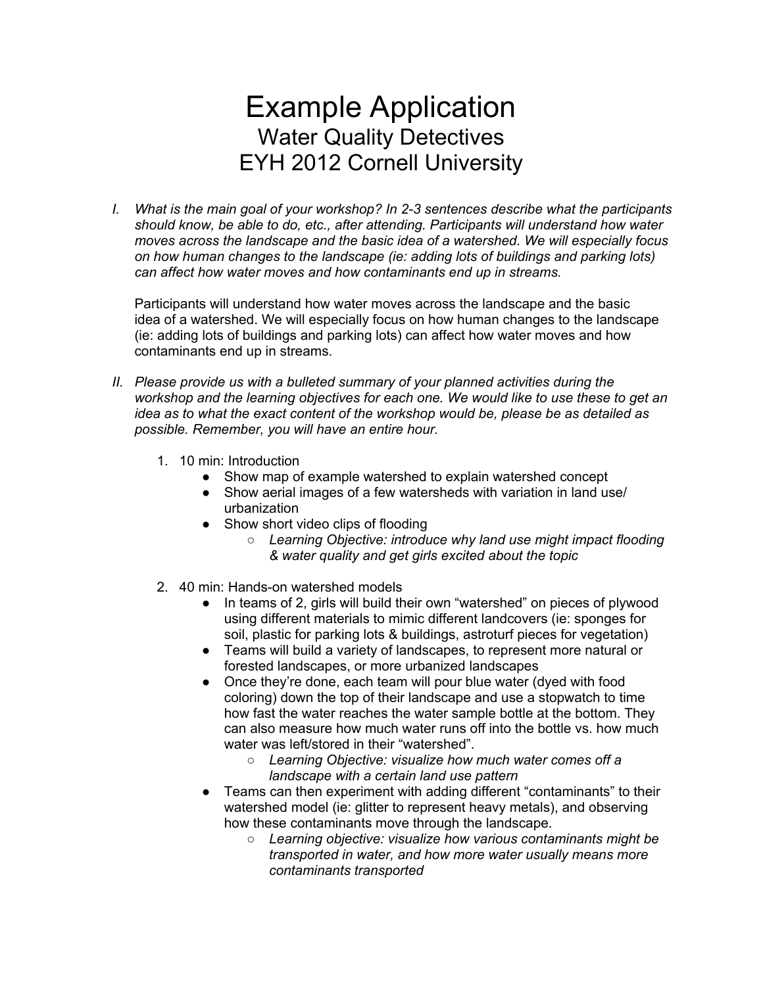## Example Application Water Quality Detectives EYH 2012 Cornell University

*I. What is the main goal of your workshop? In 2-3 sentences describe what the participants should know, be able to do, etc., after attending. Participants will understand how water moves across the landscape and the basic idea of a watershed. We will especially focus on how human changes to the landscape (ie: adding lots of buildings and parking lots) can affect how water moves and how contaminants end up in streams.*

Participants will understand how water moves across the landscape and the basic idea of a watershed. We will especially focus on how human changes to the landscape (ie: adding lots of buildings and parking lots) can affect how water moves and how contaminants end up in streams.

- *II. Please provide us with a bulleted summary of your planned activities during the workshop and the learning objectives for each one. We would like to use these to get an idea as to what the exact content of the workshop would be, please be as detailed as possible. Remember, you will have an entire hour.*
	- 1. 10 min: Introduction
		- Show map of example watershed to explain watershed concept
		- Show aerial images of a few watersheds with variation in land use/ urbanization
		- Show short video clips of flooding
			- *Learning Objective: introduce why land use might impact flooding & water quality and get girls excited about the topic*
	- 2. 40 min: Hands-on watershed models
		- In teams of 2, girls will build their own "watershed" on pieces of plywood using different materials to mimic different landcovers (ie: sponges for soil, plastic for parking lots & buildings, astroturf pieces for vegetation)
		- Teams will build a variety of landscapes, to represent more natural or forested landscapes, or more urbanized landscapes
		- Once they're done, each team will pour blue water (dyed with food coloring) down the top of their landscape and use a stopwatch to time how fast the water reaches the water sample bottle at the bottom. They can also measure how much water runs off into the bottle vs. how much water was left/stored in their "watershed".
			- *Learning Objective: visualize how much water comes off a landscape with a certain land use pattern*
		- Teams can then experiment with adding different "contaminants" to their watershed model (ie: glitter to represent heavy metals), and observing how these contaminants move through the landscape.
			- *Learning objective: visualize how various contaminants might be transported in water, and how more water usually means more contaminants transported*